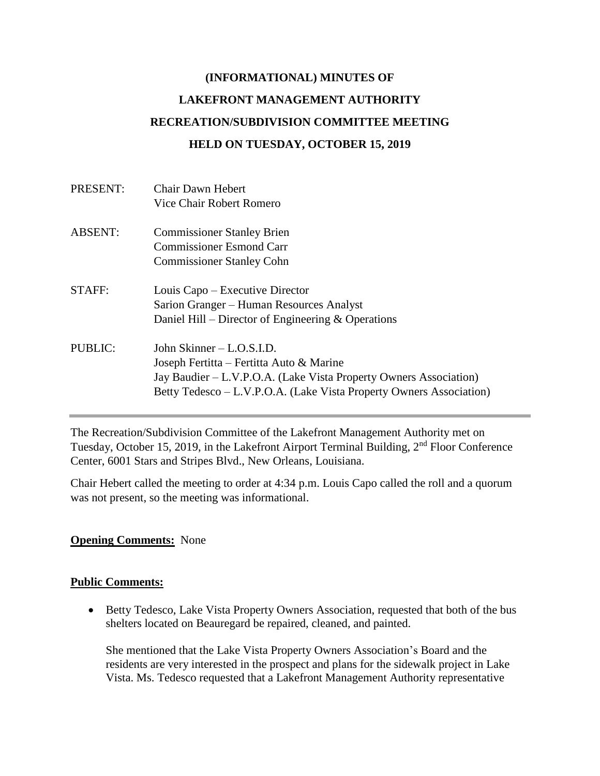# **(INFORMATIONAL) MINUTES OF LAKEFRONT MANAGEMENT AUTHORITY RECREATION/SUBDIVISION COMMITTEE MEETING HELD ON TUESDAY, OCTOBER 15, 2019**

| <b>PRESENT:</b> | <b>Chair Dawn Hebert</b><br>Vice Chair Robert Romero                                                                                                                                                               |
|-----------------|--------------------------------------------------------------------------------------------------------------------------------------------------------------------------------------------------------------------|
| <b>ABSENT:</b>  | <b>Commissioner Stanley Brien</b><br>Commissioner Esmond Carr<br><b>Commissioner Stanley Cohn</b>                                                                                                                  |
| STAFF:          | Louis Capo – Executive Director<br>Sarion Granger – Human Resources Analyst<br>Daniel Hill – Director of Engineering $&$ Operations                                                                                |
| PUBLIC:         | John Skinner $-L.O.S.I.D.$<br>Joseph Fertitta – Fertitta Auto & Marine<br>Jay Baudier – L.V.P.O.A. (Lake Vista Property Owners Association)<br>Betty Tedesco – L.V.P.O.A. (Lake Vista Property Owners Association) |

The Recreation/Subdivision Committee of the Lakefront Management Authority met on Tuesday, October 15, 2019, in the Lakefront Airport Terminal Building, 2<sup>nd</sup> Floor Conference Center, 6001 Stars and Stripes Blvd., New Orleans, Louisiana.

Chair Hebert called the meeting to order at 4:34 p.m. Louis Capo called the roll and a quorum was not present, so the meeting was informational.

#### **Opening Comments:** None

#### **Public Comments:**

• Betty Tedesco, Lake Vista Property Owners Association, requested that both of the bus shelters located on Beauregard be repaired, cleaned, and painted.

She mentioned that the Lake Vista Property Owners Association's Board and the residents are very interested in the prospect and plans for the sidewalk project in Lake Vista. Ms. Tedesco requested that a Lakefront Management Authority representative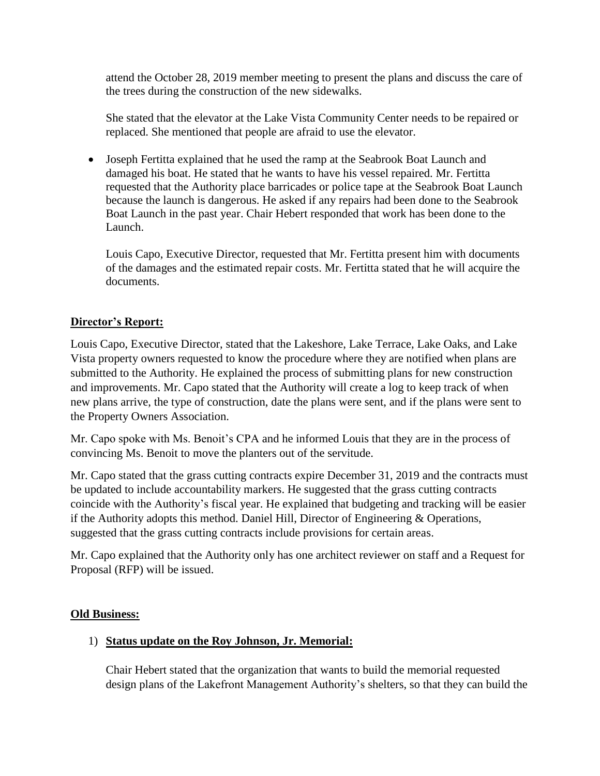attend the October 28, 2019 member meeting to present the plans and discuss the care of the trees during the construction of the new sidewalks.

She stated that the elevator at the Lake Vista Community Center needs to be repaired or replaced. She mentioned that people are afraid to use the elevator.

• Joseph Fertitta explained that he used the ramp at the Seabrook Boat Launch and damaged his boat. He stated that he wants to have his vessel repaired. Mr. Fertitta requested that the Authority place barricades or police tape at the Seabrook Boat Launch because the launch is dangerous. He asked if any repairs had been done to the Seabrook Boat Launch in the past year. Chair Hebert responded that work has been done to the Launch.

Louis Capo, Executive Director, requested that Mr. Fertitta present him with documents of the damages and the estimated repair costs. Mr. Fertitta stated that he will acquire the documents.

### **Director's Report:**

Louis Capo, Executive Director, stated that the Lakeshore, Lake Terrace, Lake Oaks, and Lake Vista property owners requested to know the procedure where they are notified when plans are submitted to the Authority. He explained the process of submitting plans for new construction and improvements. Mr. Capo stated that the Authority will create a log to keep track of when new plans arrive, the type of construction, date the plans were sent, and if the plans were sent to the Property Owners Association.

Mr. Capo spoke with Ms. Benoit's CPA and he informed Louis that they are in the process of convincing Ms. Benoit to move the planters out of the servitude.

Mr. Capo stated that the grass cutting contracts expire December 31, 2019 and the contracts must be updated to include accountability markers. He suggested that the grass cutting contracts coincide with the Authority's fiscal year. He explained that budgeting and tracking will be easier if the Authority adopts this method. Daniel Hill, Director of Engineering & Operations, suggested that the grass cutting contracts include provisions for certain areas.

Mr. Capo explained that the Authority only has one architect reviewer on staff and a Request for Proposal (RFP) will be issued.

#### **Old Business:**

#### 1) **Status update on the Roy Johnson, Jr. Memorial:**

Chair Hebert stated that the organization that wants to build the memorial requested design plans of the Lakefront Management Authority's shelters, so that they can build the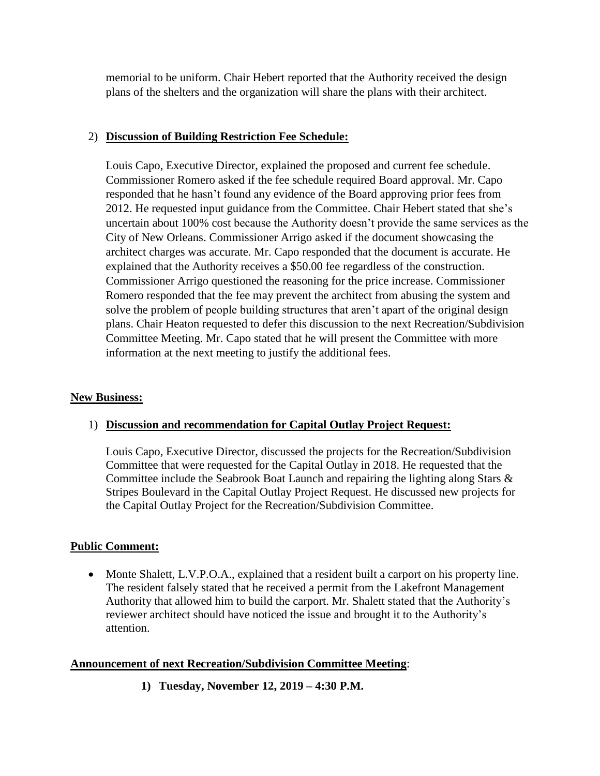memorial to be uniform. Chair Hebert reported that the Authority received the design plans of the shelters and the organization will share the plans with their architect.

#### 2) **Discussion of Building Restriction Fee Schedule:**

Louis Capo, Executive Director, explained the proposed and current fee schedule. Commissioner Romero asked if the fee schedule required Board approval. Mr. Capo responded that he hasn't found any evidence of the Board approving prior fees from 2012. He requested input guidance from the Committee. Chair Hebert stated that she's uncertain about 100% cost because the Authority doesn't provide the same services as the City of New Orleans. Commissioner Arrigo asked if the document showcasing the architect charges was accurate. Mr. Capo responded that the document is accurate. He explained that the Authority receives a \$50.00 fee regardless of the construction. Commissioner Arrigo questioned the reasoning for the price increase. Commissioner Romero responded that the fee may prevent the architect from abusing the system and solve the problem of people building structures that aren't apart of the original design plans. Chair Heaton requested to defer this discussion to the next Recreation/Subdivision Committee Meeting. Mr. Capo stated that he will present the Committee with more information at the next meeting to justify the additional fees.

#### **New Business:**

#### 1) **Discussion and recommendation for Capital Outlay Project Request:**

Louis Capo, Executive Director, discussed the projects for the Recreation/Subdivision Committee that were requested for the Capital Outlay in 2018. He requested that the Committee include the Seabrook Boat Launch and repairing the lighting along Stars & Stripes Boulevard in the Capital Outlay Project Request. He discussed new projects for the Capital Outlay Project for the Recreation/Subdivision Committee.

#### **Public Comment:**

• Monte Shalett, L.V.P.O.A., explained that a resident built a carport on his property line. The resident falsely stated that he received a permit from the Lakefront Management Authority that allowed him to build the carport. Mr. Shalett stated that the Authority's reviewer architect should have noticed the issue and brought it to the Authority's attention.

#### **Announcement of next Recreation/Subdivision Committee Meeting**:

**1) Tuesday, November 12, 2019 – 4:30 P.M.**